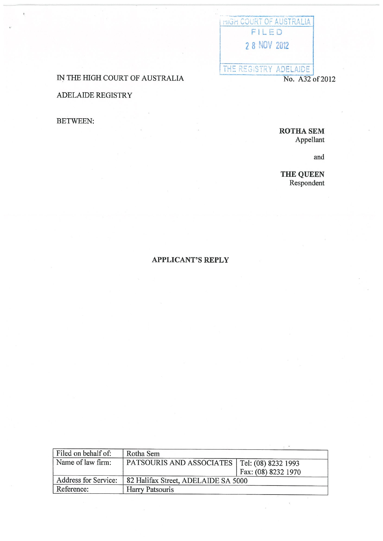## I HIGH COURT OF AUSTRALIA FILED 2 8 NOV 2012 THE REGISTRY ADELAIDE No. A32 of 2012

IN THE HIGH COURT OF AUSTRALIA

ADELAIDE REGISTRY

**BETWEEN:** 

ROTHA SEM Appellant

and

THE QUEEN Respondent

 $\gamma$ 

## **APPLICANT'S REPLY**

| Filed on behalf of:  | Rotha Sem                                      |                     |
|----------------------|------------------------------------------------|---------------------|
| Name of law firm:    | PATSOURIS AND ASSOCIATES   Tel: (08) 8232 1993 |                     |
|                      |                                                | Fax: (08) 8232 1970 |
| Address for Service: | 82 Halifax Street, ADELAIDE SA 5000            |                     |
| Reference:           | <b>Harry Patsouris</b>                         |                     |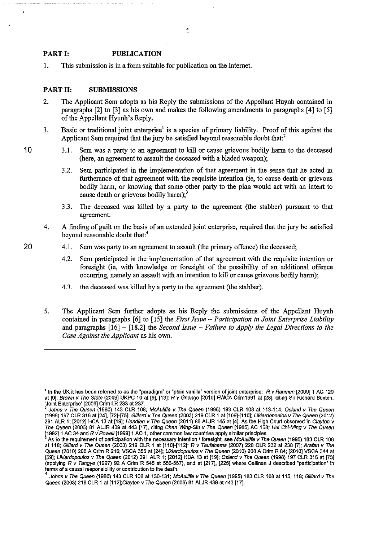## **PART I: PUBLICATION**

1. This submission is in a form suitable for publication on the futemet.

## **PART II: SUBMISSIONS**

- 2. The Applicant Sem adopts as his Reply the submissions of the Appellant Huynh contained in paragraphs [2] to [3] as his own and makes the following amendments to paragraphs [4] to [5] of the Appellant Hyunh's Reply.
- 3. Basic or traditional joint enterprise<sup>1</sup> is a species of primary liability. Proof of this against the Applicant Sem required that the jury be satisfied beyond reasonable doubt that:<sup>2</sup>
- **1 0** 3 .I. Sem was a party to an agreement to kill or cause grievous bodily harm to the deceased (here, an agreement to assault the deceased with a bladed weapon);
	- 3.2. Sem participated in the implementation of that agreement in the sense that he acted in furtherance of that agreement with the requisite intention (ie, to cause death or grievous bodily harm, or knowing that some other party to the plan would act with an intent to cause death or grievous bodily harm); $3$
	- 3.3. The deceased was killed by a party to the agreement (the stabber) pursuant to that agreement.
	- 4. A finding of guilt on the basis of an extended joint enterprise, required that the jury be satisfied beyond reasonable doubt that:<sup>4</sup>
- 20 4.1. Sem was party to an agreement to assault (the primary offence) the deceased;
	- 4.2. Sem participated in the implementation of that agreement with the requisite intention or foresight (ie, with knowledge or foresight of the possibility of an additional offence occurring, namely an assault with an intention to kill or cause grievous bodily harm);
	- 4.3. the deceased was killed by a party to the agreement (the stabber).
	- 5. The Applicant Sem further adopts as his Reply the submissions of the Appellant Huynh contained in paragraphs [6] to [15] the *First Issue- Participation in Joint Enterprise Liability*  and paragraphs [16] - [18.2] the *Second Issue- Failure to Apply the Legal Directions to the Case Against the Applicant* as his own.

<sup>1</sup>**In the UK it has been referred to as the** ~paradigm" **or "plain vanilla" version of joint enterprise: R** *v* **Rahman [2009] 1 AC 129**  at [9]; Brown v The State [2003] UKPC 10 at [9], [13]; R v Gnango [2010] EWCA Crim1691 at [28], citing Sir Richard Buxton, 'Joint Enterprise' [2009] Crim LR 233 at 237.

Johns v The Queen (1980) 143 CLR 108; McAuliffe v The Queen (1995) 183 CLR 108 at 113-114; Osland v The Queen (1998) 197 CLR 316 at [24], [72]·[75]; Gillard v The Queen (2003) 219 CLR 1 at [109]·[110]; Likiardopou/os v The Queen (2012) 291 ALR 1; [2012] HCA 13 at [19]; Hand/en v The Queen (2011) 86 ALJR 145 at [4]. As the High Court observed in Clayton v The Queen (2006) 81 ALJR 439 at 443 [17], citing Chan Wing-Siu v The Queen [1985] AC 168; Hui Chi-Ming v The Queen \1992]1 AC 34 and *R* v'Powe/1 [1999]1 AC 1, other common law countries apply similar principles.

As to the requirement of participation with the necessary intention / foresight, see McAuliffe v The Queen (1995) 183 CLR 108 at 118; Gillard v The Queen (2003) 219 CLR 1 at [110]·[112]; R v Taufahema (2007) 228 CLR 232 at 238 [7]; Arafan v The Queen (2010) 206 A Crim R 216; VSCA 356 at [24]; *Likiardopoulos v The Queen* (2010) 208 A Crim R 84; [2010] VSCA 344 at [59]; Likiardopoulos v The Queen (2012) 291 ALR 1; [2012] HCA 13 at [19]; Osland v The Queen (1998) 197 CLR 316 at [73] (applying R v Tangye (1997) 92 A Grim R 545 at 556·557), and at [217], [225] where Callinan J described "participation" in **terms of a causal responsibility or contribution to the death.** 

Johns v The Queen (1980) 143 CLR 108 at 130-131; McAuliffe v The Queen (1995) 183 CLR 108 at 115, 118; Gillard v The Queen (2003} 219 CLR 1 at [112];C/ayton v The Queen (2006) 81 ALJR 439 at 443 [17].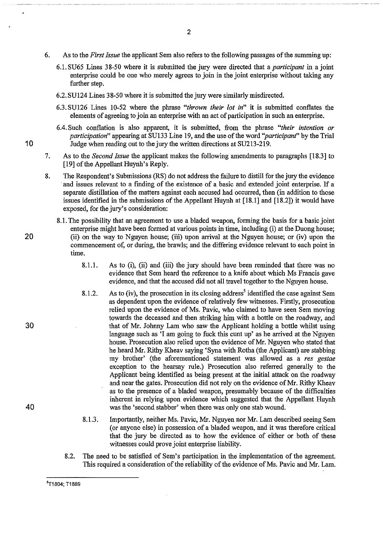- 6. As to the *First Issue* the applicant Sem also refers to the following passages of the summing up:
	- 6.1. SU65 Lines 38-50 where it is submitted the jury were directed that a *participant* in a joint enterprise could be one who merely agrees to join in the joint enterprise without taking any further step.
	- 6.2. SU124 Lines 3 8-50 where it is submitted the jury were similarly misdirected.
	- 6.3. SU126 Lines 10-52 where the phrase *"thrown their lot in"* it is submitted conflates the elements of agreeing to join an enterprise with an act of participation in such an enterprise.
- 6.4. Such conflation is also apparent, it is submitted, from the phrase *"their intention or participation"* appearing at SU133 Line 19, and the use of the word *''participant'* by the Trial 10 Judge when reading out to the jury the written directions at SU213-219.
	- 7. As to the *Second Issue* the applicant makes the following amendments to paragraphs [18.3] to [19] of the Appellant Huynh's Reply.
	- 8. The Respondent's Submissions (RS) do not address the failure to distill for the jury the evidence and issues relevant to a finding of the existence of a basic and extended joint enterprise. If a separate distillation of the matters against each accused had occurred, then (in addition to those issues identified in the submissions of the Appellant Huynh at [18.1] and [18.2]) it would have exposed, for the jury's consideration:
- 8.1. The possibility that an agreement to use a bladed weapon, forming the basis for a basic joint enterprise might have been formed at various points in time, including (i) at the Duong house; 20 (ii) on the way to Nguyen house; (iii) upon arrival at the Nguyen house; or (iv) upon the commencement of, or during, the brawls; and the differing evidence relevant to each point in time.
	- 8.1.1. As to (i), (ii) and (iii) the jury should have been reminded that there was no evidence that Sem heard the reference to a knife about which Ms Francis gave evidence, and that the accused did not all travel together to the Nguyen house.
	- 8.1.2. As to (iv), the prosecution in its closing address<sup>5</sup> identified the case against Sem as dependent upon the evidence of relatively few witnesses. Firstly, prosecution relied upon the evidence of Ms. Pavic, who claimed to have seen Sem moving towards the deceased and then striking him with a bottle on the roadway, and that of Mr. Johrmy Lam who saw the Applicant holding a bottle whilst using language such as 'I am going to fuck this cunt up' as he arrived at the Nguyen house. Prosecution also relied upon the evidence of Mr. Nguyen who stated that he heard Mr. Rithy Kheav saying 'Syna with Rotha (the Applicant) are stabbing my brother' (the aforementioned statement was allowed as a *res gestae*  exception to the hearsay rule.) Prosecution also referred generally to the Applicant being identified as being present at the initial attack on the roadway and near the gates. Prosecution did not rely on the evidence of Mr. Rithy Kheav as to the presence of a bladed weapon, presumably because of the difficulties inherent in relying upon evidence which suggested that the Appellant Huynh was the 'second stabber' when there was only one stab wound.
	- 8.1.3. Importantly, neither Ms. Pavic, Mr. Nguyen nor Mr. Lam described seeing Sem (or anyone else) in possession of a bladed weapon, and it was therefore critical that the jury be directed as to how the evidence of either or both of these witnesses could prove joint enterprise liability.
	- 8.2. The need to be satisfied of Sem's participation in the implementation of the agreement. This required a consideration of the reliability of the evidence of Ms. Pavic and Mr. Lam.

30

40

<sup>5</sup>T1804; T1889